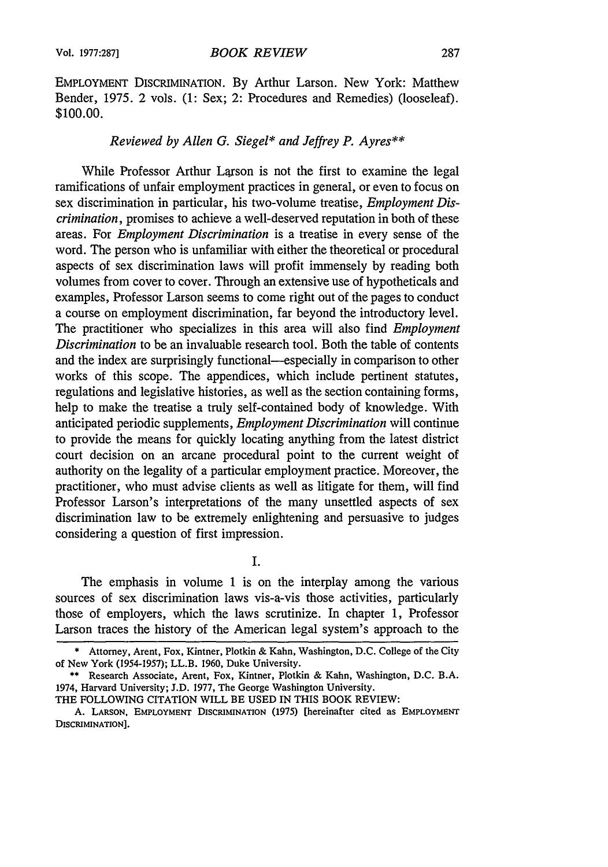EMPLOYMENT DISCRIMINATION. By Arthur Larson. New York: Matthew Bender, 1975. 2 vols. (1: Sex; 2: Procedures and Remedies) (looseleaf). \$100.00.

## *Reviewed by Allen G. Siegel\* and Jeffrey P. Ayres\*\**

While Professor Arthur Larson is not the first to examine the legal ramifications of unfair employment practices in general, or even to focus on sex discrimination in particular, his two-volume treatise, *Employment Discrimination,* promises to achieve a well-deserved reputation in both of these areas. For *Employment Discrimination* is a treatise in every sense of the word. The person who is unfamiliar with either the theoretical or procedural aspects of sex discrimination laws will profit immensely by reading both volumes from cover to cover. Through an extensive use of hypotheticals and examples, Professor Larson seems to come right out of the pages to conduct a course on employment discrimination, far beyond the introductory level. The practitioner who specializes in this area will also find *Employment Discrimination* to be an invaluable research tool. Both the table of contents and the index are surprisingly functional—especially in comparison to other works of this scope. The appendices, which include pertinent statutes, regulations and legislative histories, as well as the section containing forms, help to make the treatise a truly self-contained body of knowledge. With anticipated periodic supplements, *Employment Discrimination* will continue to provide the means for quickly locating anything from the latest district court decision on an arcane procedural point to the current weight of authority on the legality of a particular employment practice. Moreover, the practitioner, who must advise clients as well as litigate for them, will find Professor Larson's interpretations of the many unsettled aspects of sex discrimination law to be extremely enlightening and persuasive to judges considering a question of first impression.

I.

The emphasis in volume 1 is on the interplay among the various sources of sex discrimination laws vis-a-vis those activities, particularly those of employers, which the laws scrutinize. In chapter 1, Professor Larson traces the history of the American legal system's approach to the

THE FOLLOWING CITATION WILL BE USED IN THIS BOOK REVIEW:

<sup>\*</sup> Attorney, Arent, Fox, Kintner, Plotkin & Kahn, Washington, D.C. College of the City of New York **(1954-1957);** LL.B. 1960, Duke University.

<sup>\*\*</sup> Research Associate, Arent, Fox, Kintner, Plotkin & Kahn, Washington, D.C. B.A. 1974, Harvard University; J.D. 1977, The George Washington University.

A. **LARSON, EMPLOYMENT DISCRIMINATION** (1975) [hereinafter cited as EMPLOYMENT **DISCRIMINATION].**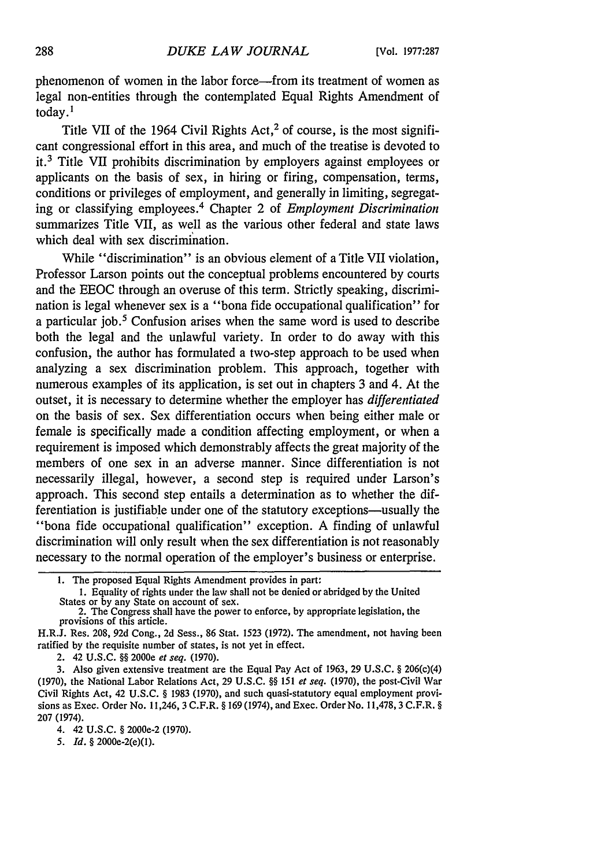phenomenon of women in the labor force—from its treatment of women as legal non-entities through the contemplated Equal Rights Amendment of today. '

Title VII of the 1964 Civil Rights  $Act<sub>1</sub><sup>2</sup>$  of course, is the most significant congressional effort in this area, and much of the treatise is devoted to it.3 Title VII prohibits discrimination by employers against employees or applicants on the basis of sex, in hiring or firing, compensation, terms, conditions or privileges of employment, and generally in limiting, segregating or classifying employees.4 Chapter 2 of *Employment Discrimination* summarizes Title VII, as well as the various other federal and state laws which deal with sex discrimination.

While "discrimination" is an obvious element of a Title VII violation, Professor Larson points out the conceptual problems encountered by courts and the EEOC through an overuse of this term. Strictly speaking, discrimination is legal whenever sex is a "bona fide occupational qualification" for a particular job.5 Confusion arises when the same word is used to describe both the legal and the unlawful variety. In order to do away with this confusion, the author has formulated a two-step approach to be used when analyzing a sex discrimination problem. This approach, together with numerous examples of its application, is set out in chapters 3 and 4. At the outset, it is necessary to determine whether the employer has *differentiated* on the basis of sex. Sex differentiation occurs when being either male or female is specifically made a condition affecting employment, or when a requirement is imposed which demonstrably affects the great majority of the members of one sex in an adverse manner. Since differentiation is not necessarily illegal, however, a second step is required under Larson's approach. This second step entails a determination as to whether the differentiation is justifiable under one of the statutory exceptions-usually the "bona fide occupational qualification" exception. A finding of unlawful discrimination will only result when the sex differentiation is not reasonably necessary to the normal operation of the employer's business or enterprise.

2. 42 U.S.C. §§ 2000e *et seq.* (1970).

3. Also given extensive treatment are the Equal Pay Act of 1963, 29 U.S.C. § 206(c)(4) (1970), the National Labor Relations Act, 29 U.S.C. §§ 151 *et seq.* (1970), the post-Civil War Civil Rights Act, 42 U.S.C. § 1983 (1970), and such quasi-statutory equal employment provisions as Exec. Order No. 11,246, 3 C.F.R. § 169 (1974), and Exec. Order No. 11,478,3 C.F.R. § 207 **(1974).**

*5. Id.* § 2000e-2(e)(1).

**<sup>1.</sup>** The proposed Equal Rights Amendment provides in part:

**<sup>1.</sup>** Equality of rights under the law shall not be denied or abridged by the United States or by any State on account of sex.<br>2. The Congress shall have the power to enforce, by appropriate legislation, the

provisions of this article.

H.R.J. Res. 208, 92d Cong., 2d Sess., 86 Stat. 1523 (1972). The amendment, not having been ratified by the requisite number of states, is not yet in effect.

<sup>4. 42</sup> **U.S.C.** § 2000e-2 **(1970).**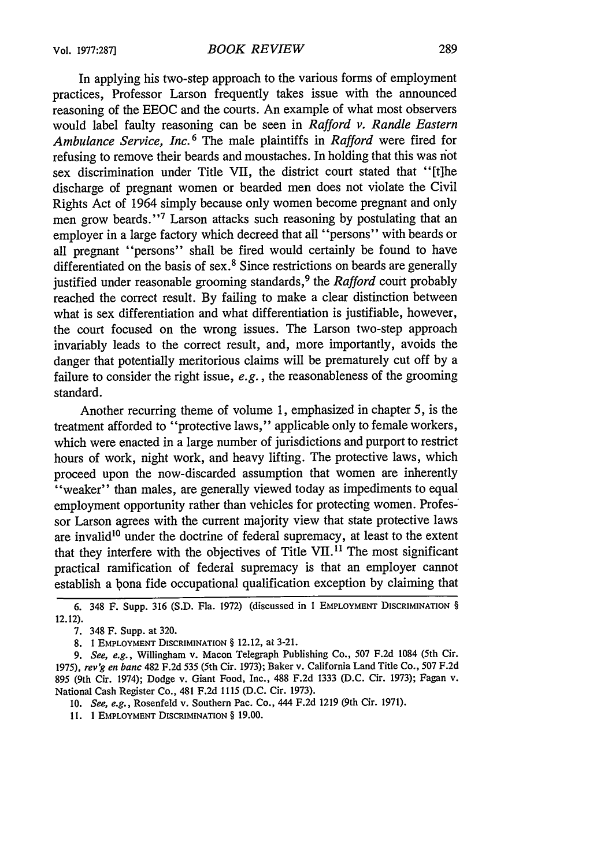In applying his two-step approach to the various forms of employment practices, Professor Larson frequently takes issue with the announced reasoning of the EEOC and the courts. An example of what most observers would label faulty reasoning can be seen in *Rafford v. Randle Eastern Ambulance Service, Inc.* 6 The male plaintiffs in *Rafford* were fired for refusing to remove their beards and moustaches. In holding that this was not sex discrimination under Title VII, the district court stated that "[t]he discharge of pregnant women or bearded men does not violate the Civil Rights Act of 1964 simply because only women become pregnant and only men grow beards."<sup>7</sup> Larson attacks such reasoning by postulating that an employer in a large factory which decreed that all "persons" with beards or all pregnant "persons" shall be fired would certainly be found to have differentiated on the basis of sex.<sup>8</sup> Since restrictions on beards are generally justified under reasonable grooming standards, 9 the *Rafford* court probably reached the correct result. By failing to make a clear distinction between what is sex differentiation and what differentiation is justifiable, however, the court focused on the wrong issues. The Larson two-step approach invariably leads to the correct result, and, more importantly, avoids the danger that potentially meritorious claims will be prematurely cut off by a failure to consider the right issue, *e.g.,* the reasonableness of the grooming standard.

Another recurring theme of volume 1, emphasized in chapter 5, is the treatment afforded to "protective laws," applicable only to female workers, which were enacted in a large number of jurisdictions and purport to restrict hours of work, night work, and heavy lifting. The protective laws, which proceed upon the now-discarded assumption that women are inherently "weaker" than males, are generally viewed today as impediments to equal employment opportunity rather than vehicles for protecting women. Profes-' sor Larson agrees with the current majority view that state protective laws are invalid<sup>10</sup> under the doctrine of federal supremacy, at least to the extent that they interfere with the objectives of Title  $VII$ .<sup>11</sup> The most significant practical ramification of federal supremacy is that an employer cannot establish a bona fide occupational qualification exception by claiming that

**8. 1 EMPLOYMENT DISCRIMINATION** § 12.12, at **3-21.**

*9. See, e.g.,* **Willingham v. Macon Telegraph Publishing Co., 507 F.2d 1084** (5th Cir. 1975), *rev'g en banc* **482 F.2d 535** (5th **Cir. 1973); Baker v. California Land Title Co., 507 F.2d** *895* **(9th Cir. 1974); Dodge v. Giant Food, Inc., 488 F.2d 1333 (D.C. Cir. 1973); Fagan v. National Cash Register Co., 481 F.2d 1115 (D.C. Cir. 1973).**

*10. See, e.g.,* **Rosenfeld v. Southern Pac. Co., 444 F.2d 1219** (9th Cir. **1971).**

**11. 1 EMPLOYMENT DISCRIMINATION** § **19.00.**

**<sup>6.</sup>** 348 F. Supp. **316 (S.D.** Fla. **1972)** (discussed in **1** EMPLOYMENT **DISCRIMINATION** § **12.12).**

**<sup>7.</sup>** 348 F. Supp. at **320.**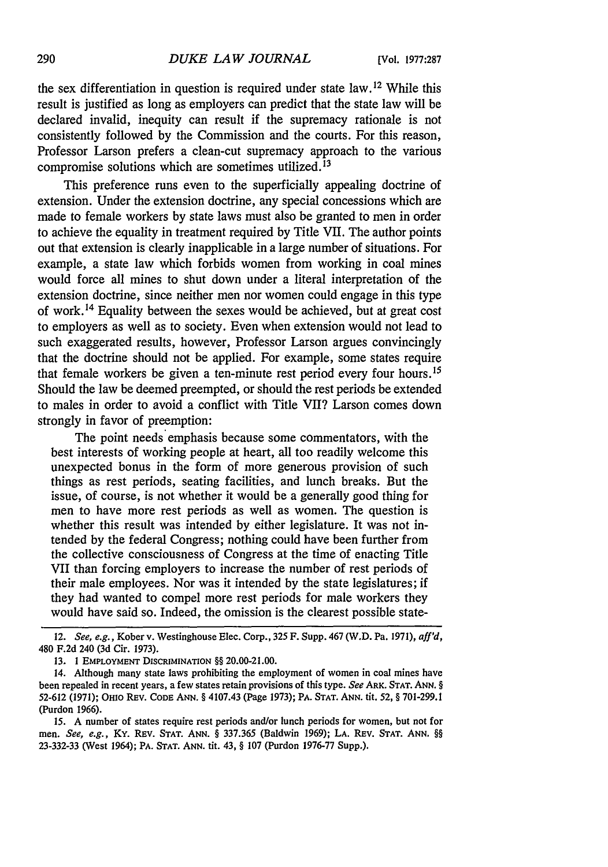the sex differentiation in question is required under state law. 12 While this result is justified as long as employers can predict that the state law will be declared invalid, inequity can result if the supremacy rationale is not consistently followed by the Commission and the courts. For this reason, Professor Larson prefers a clean-cut supremacy approach to the various compromise solutions which are sometimes utilized.<sup>13</sup>

This preference runs even to the superficially appealing doctrine of extension. Under the extension doctrine, any special concessions which are made to female workers by state laws must also be granted to men in order to achieve the equality in treatment required by Title VII. The author points out that extension is clearly inapplicable in a large number of situations. For example, a state law which forbids women from working in coal mines would force all mines to shut down under a literal interpretation of the extension doctrine, since neither men nor women could engage in this type of work. 4 Equality between the sexes would be achieved, but at great cost to employers as well as to society. Even when extension would not lead to such exaggerated results, however, Professor Larson argues convincingly that the doctrine should not be applied. For example, some states require that female workers be given a ten-minute rest period every four hours.<sup>15</sup> Should the law be deemed preempted, or should the rest periods be extended to males in order to avoid a conflict with Title VII? Larson comes down strongly in favor of preemption:

The point needs emphasis because some commentators, with the best interests of working people at heart, all too readily welcome this unexpected bonus in the form of more generous provision of such things as rest periods, seating facilities, and lunch breaks. But the issue, of course, is not whether it would be a generally good thing for men to have more rest periods as well as women. The question is whether this result was intended by either legislature. It was not intended by the federal Congress; nothing could have been further from the collective consciousness of Congress at the time of enacting Title VII than forcing employers to increase the number of rest periods of their male employees. Nor was it intended by the state legislatures; if they had wanted to compel more rest periods for male workers they would have said so. Indeed, the omission is the clearest possible state-

<sup>12.</sup> *See, e.g.,* Kober v. Westinghouse Elec. Corp., 325 F. Supp. 467 (W.D. Pa. 1971), *affl'd,* 480 F.2d 240 (3d Cir. 1973).

**<sup>13. 1</sup>** EMPLOYMENT **DISCRIMINATION** §§ 20.00-21.00.

<sup>14.</sup> Although many state laws prohibiting the employment of women in coal mines have been repealed in recent years, a few states retain provisions of this type. *See* ARK. STAT. ANN. § 52-612 (1971); OHIo REV. CODE **ANN.** § 4107.43 (Page 1973); PA. STAT. ANN. tit. 52, § 701-299.1 (Purdon 1966).

*<sup>15.</sup>* A number of states require rest periods and/or lunch periods for women, but not for men. *See, e.g.,* KY. REV. **STAT.** ANN. § 337.365 (Baldwin 1969); **LA.** REV. STAT. **ANN.** §§ 23-332-33 (West 1964); PA. STAT. ANN. tit. 43, § 107 (Purdon 1976-77 Supp.).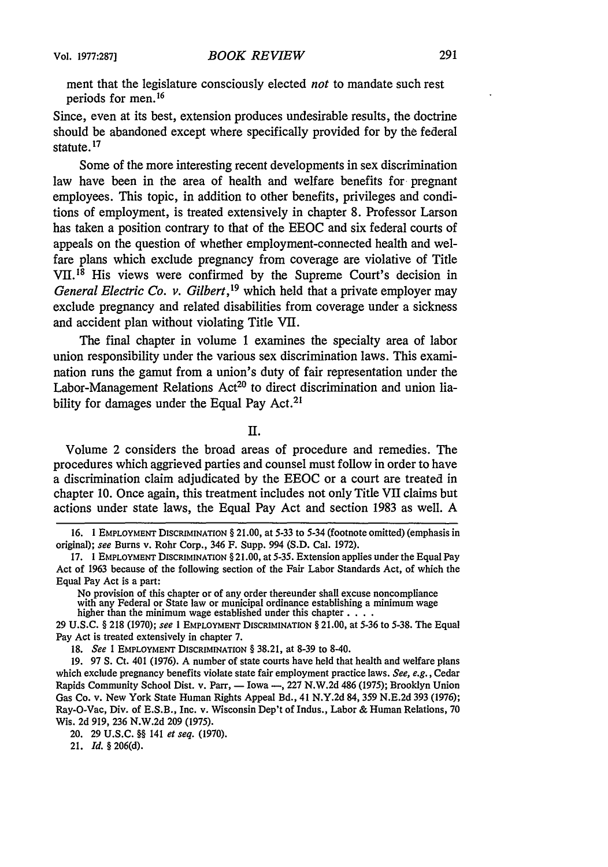ment that the legislature consciously elected *not* to mandate such rest periods for men.16

Since, even at its best, extension produces undesirable results, the doctrine should be abandoned except where specifically provided for by the federal statute.<sup>17</sup>

Some of the more interesting recent developments in sex discrimination law have been in the area of health and welfare benefits for pregnant employees. This topic, in addition to other benefits, privileges and conditions of employment, is treated extensively in chapter 8. Professor Larson has taken a position contrary to that of the EEOC and six federal courts of appeals on the question of whether employment-connected health and welfare plans which exclude pregnancy from coverage are violative of Title VII. 18 His views were confirmed by the Supreme Court's decision in *General Electric Co. v. Gilbert*,<sup>19</sup> which held that a private employer may exclude pregnancy and related disabilities from coverage under a sickness and accident plan without violating Title VII.

The final chapter in volume 1 examines the specialty area of labor union responsibility under the various sex discrimination laws. This examination runs the gamut from a union's duty of fair representation under the Labor-Management Relations Act<sup>20</sup> to direct discrimination and union liability for damages under the Equal Pay Act.<sup>21</sup>

II.

Volume 2 considers the broad areas of procedure and remedies. The procedures which aggrieved parties and counsel must follow in order to have a discrimination claim adjudicated by the EEOC or a court are treated in chapter 10. Once again, this treatment includes not only Title VII claims but actions under state laws, the Equal Pay Act and section 1983 as well. A

No provision of this chapter or of any order thereunder shall excuse noncompliance with any Federal or State law or municipal ordinance establishing a minimum wage higher than the minimum wage established under this chapter **.** . .

29 **U.S.C. §** 218 (1970); see 1 **EMPLOYMENT** DISCRIMINATION **§** 21.00, at 5-36 to 5-38. The Equal Pay Act is treated extensively in chapter 7.

18. *See I* EMPLOYMENT **DISCRIMINATION §** 38.21, at 8-39 to 8-40.

19. 97 **S.** Ct. 401 (1976). A number of state courts have held that health and welfare plans which exclude pregnancy benefits violate state fair employment practice laws. *See, e.g.,* Cedar Rapids Community School Dist. v. Parr, — Iowa —, 227 N.W.2d 486 (1975); Brooklyn Union Gas Co. v. New York State Human Rights Appeal Bd., 41 **N.Y.2d** 84, **359 N.E.2d** 393 (1976); Ray-O-Vac, Div. of E.S.B., Inc. v. Wisconsin Dep't of Indus., Labor & Human Relations, 70 Wis. 2d 919, 236 N.W.2d 209 (1975).

20. 29 U.S.C. 88 141 *et seq.* (1970).

21. *Id. §* **206(d).**

**<sup>16.</sup>** 1 **EMPLOYMENT DISCRIMINATION §** 21.00, at 5-33 to 5-34 (footnote omitted) (emphasis in original); see Burns v. Rohr Corp., 346 F. Supp. 994 (S.D. Cal. 1972).

<sup>17. 1</sup> EMPLOYMENT **DISCRIMINATION §** 21.00, at 5-35. Extension applies under the Equal Pay Act of 1963 because of the following section of the Fair Labor Standards Act, of which the Equal Pay Act is a part: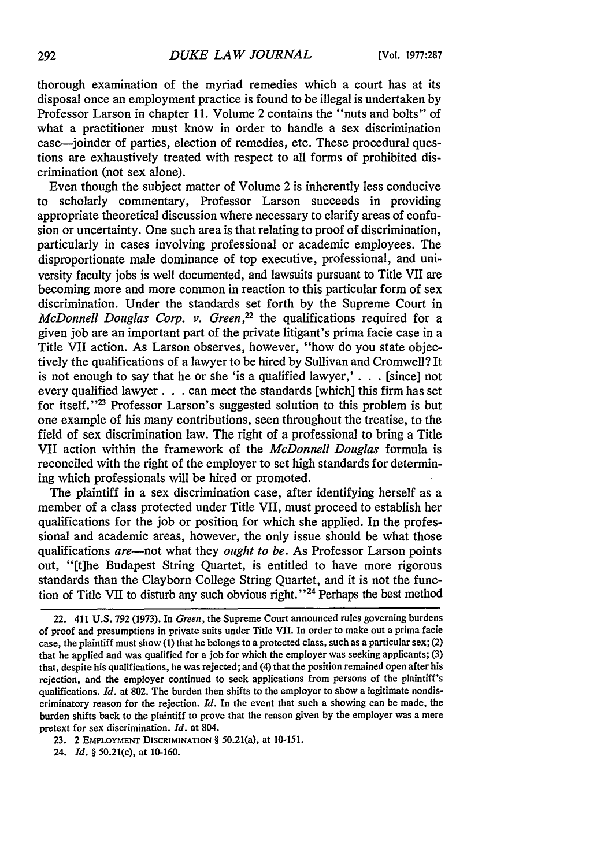thorough examination of the myriad remedies which a court has at its disposal once an employment practice is found to be illegal is undertaken by Professor Larson in chapter 11. Volume 2 contains the "nuts and bolts" of what a practitioner must know in order to handle a sex discrimination case-joinder of parties, election of remedies, etc. These procedural questions are exhaustively treated with respect to all forms of prohibited discrimination (not sex alone).

Even though the subject matter of Volume 2 is inherently less conducive to scholarly commentary, Professor Larson succeeds in providing appropriate theoretical discussion where necessary to clarify areas of confusion or uncertainty. One such area is that relating to proof of discrimination, particularly in cases involving professional or academic employees. The disproportionate male dominance of top executive, professional, and university faculty jobs is well documented, and lawsuits pursuant to Title VII are becoming more and more common in reaction to this particular form of sex discrimination. Under the standards set forth by the Supreme Court in *McDonnell Douglas Corp. v. Green,22* the qualifications required for a given job are an important part of the private litigant's prima facie case in a Title VII action. As Larson observes, however, "how do you state objectively the qualifications of a lawyer to be hired by Sullivan and Cromwell? It is not enough to say that he or she 'is a qualified lawyer,' **. .** . [since] not every qualified lawyer. **. .** can meet the standards [which] this firm has set for itself.<sup>''23</sup> Professor Larson's suggested solution to this problem is but one example of his many contributions, seen throughout the treatise, to the field of sex discrimination law. The right of a professional to bring a Title VII action within the framework of the *McDonnell Douglas* formula is reconciled with the right of the employer to set high standards for determining which professionals will be hired or promoted.

The plaintiff in a sex discrimination case, after identifying herself as a member of a class protected under Title VII, must proceed to establish her qualifications for the job or position for which she applied. In the professional and academic areas, however, the only issue should be what those qualifications *are-not* what they *ought to be.* As Professor Larson points out, "[t]he Budapest String Quartet, is entitled to have more rigorous standards than the Clayborn College String Quartet, and it is not the function of Title VII to disturb any such obvious right.<sup>124</sup> Perhaps the best method

23. 2 EMPLOYMENT DISCRIMINATION § 50.21(a), at 10-151.

<sup>22. 411</sup> U.S. 792 (1973). In *Green,* the Supreme Court announced rules governing burdens of proof and presumptions in private suits under Title VII. In order to make out a prima facie case, the plaintiff must show (1) that he belongs to a protected class, such as a particular sex; (2) that he applied and was qualified for a job for which the employer was seeking applicants; (3) that, despite his qualifications, he was rejected; and (4) that the position remained open after his rejection, and the employer continued to seek applications from persons of the plaintiff's qualifications. *Id.* at 802. The burden then shifts to the employer to show a legitimate nondiscriminatory reason for the rejection. *Id.* In the event that such a showing can be made, the burden shifts back to the plaintiff to prove that the reason given by the employer was a mere pretext for sex discrimination. *Id.* at 804.

<sup>24.</sup> *Id. §* 50.21(c), at 10-160.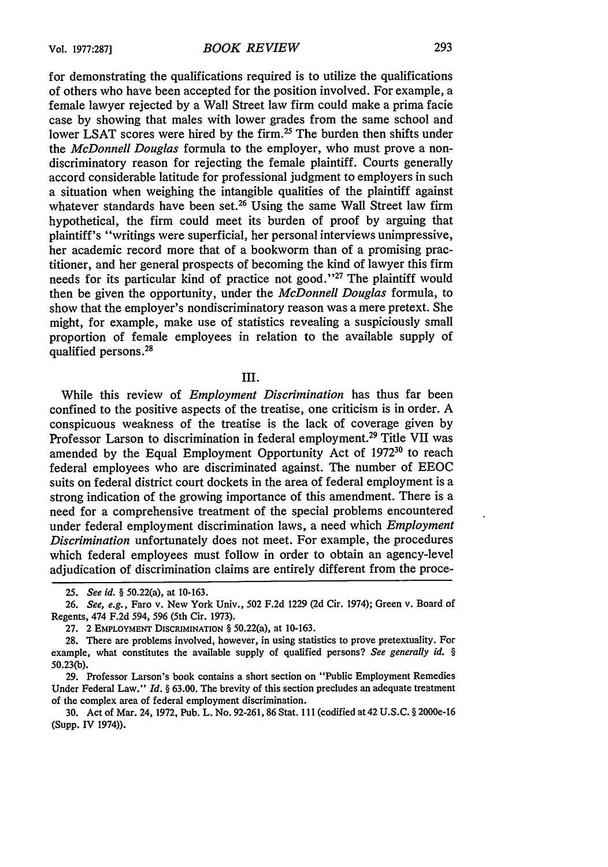for demonstrating the qualifications required is to utilize the qualifications of others who have been accepted for the position involved. For example, a female lawyer rejected by a Wall Street law firm could make a prima facie case by showing that males with lower grades from the same school and lower LSAT scores were hired by the firm.<sup>25</sup> The burden then shifts under the *McDonnell Douglas* formula to the employer, who must prove a nondiscriminatory reason for rejecting the female plaintiff. Courts generally accord considerable latitude for professional judgment to employers in such a situation when weighing the intangible qualities of the plaintiff against whatever standards have been set.<sup>26</sup> Using the same Wall Street law firm hypothetical, the firm could meet its burden of proof by arguing that plaintiff's "writings were superficial, her personal interviews unimpressive, her academic record more that of a bookworm than of a promising practitioner, and her general prospects of becoming the kind of lawyer this firm needs for its particular kind of practice not good."<sup>27</sup> The plaintiff would then be given the opportunity, under the *McDonnell Douglas* formula, to show that the employer's nondiscriminatory reason was a mere pretext. She might, for example, make use of statistics revealing a suspiciously small proportion of female employees in relation to the available supply of qualified persons. 28

## III.

While this review of *Employment Discrimination* has thus far been confined to the positive aspects of the treatise, one criticism is in order. A conspicuous weakness of the treatise is the lack of coverage given by Professor Larson to discrimination in federal employment.<sup>29</sup> Title VII was amended by the Equal Employment Opportunity Act of 1972<sup>30</sup> to reach federal employees who are discriminated against. The number of EEOC suits on federal district court dockets in the area of federal employment is a strong indication of the growing importance of this amendment. There is a need for a comprehensive treatment of the special problems encountered under federal employment discrimination laws, a need which *Employment Discrimination* unfortunately does not meet. For example, the procedures which federal employees must follow in order to obtain an agency-level adjudication of discrimination claims are entirely different from the proce-

*<sup>25.</sup> See id. §* 50.22(a), at 10-163.

*<sup>26.</sup> See, e.g.,* Faro v. New York Univ., 502 F.2d 1229 (2d Cir. 1974); Green v. Board of Regents, 474 F.2d 594, 596 (5th Cir. 1973).

**<sup>27.</sup>** 2 **EMPLOYMENT DISCRIMINATION** § 50.22(a), at **10-163.**

<sup>28.</sup> There are problems involved, however, in using statistics to prove pretextuality. For example, what constitutes the available supply of qualified persons? *See generally id. §* 50.23(b).

<sup>29.</sup> Professor Larson's book contains a short section on "Public Employment Remedies Under Federal Law." *Id.* § 63.00. The brevity of this section precludes an adequate treatment of the complex area of federal employment discrimination.

<sup>30.</sup> Act of Mar. 24,1972, Pub. L. No. 92-261, 86 Stat. 111 (codified at42U.S.C. **§** 2000e-16 (Supp. IV 1974)).